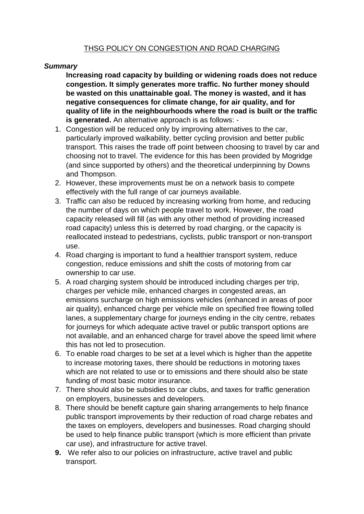### *Summary*

**Increasing road capacity by building or widening roads does not reduce congestion. It simply generates more traffic. No further money should be wasted on this unattainable goal. The money is wasted, and it has negative consequences for climate change, for air quality, and for quality of life in the neighbourhoods where the road is built or the traffic is generated.** An alternative approach is as follows: -

- 1. Congestion will be reduced only by improving alternatives to the car, particularly improved walkability, better cycling provision and better public transport. This raises the trade off point between choosing to travel by car and choosing not to travel. The evidence for this has been provided by Mogridge (and since supported by others) and the theoretical underpinning by Downs and Thompson.
- 2. However, these improvements must be on a network basis to compete effectively with the full range of car journeys available.
- 3. Traffic can also be reduced by increasing working from home, and reducing the number of days on which people travel to work. However, the road capacity released will fill (as with any other method of providing increased road capacity) unless this is deterred by road charging, or the capacity is reallocated instead to pedestrians, cyclists, public transport or non-transport use.
- 4. Road charging is important to fund a healthier transport system, reduce congestion, reduce emissions and shift the costs of motoring from car ownership to car use.
- 5. A road charging system should be introduced including charges per trip, charges per vehicle mile, enhanced charges in congested areas, an emissions surcharge on high emissions vehicles (enhanced in areas of poor air quality), enhanced charge per vehicle mile on specified free flowing tolled lanes, a supplementary charge for journeys ending in the city centre, rebates for journeys for which adequate active travel or public transport options are not available, and an enhanced charge for travel above the speed limit where this has not led to prosecution.
- 6. To enable road charges to be set at a level which is higher than the appetite to increase motoring taxes, there should be reductions in motoring taxes which are not related to use or to emissions and there should also be state funding of most basic motor insurance.
- 7. There should also be subsidies to car clubs, and taxes for traffic generation on employers, businesses and developers.
- 8. There should be benefit capture gain sharing arrangements to help finance public transport improvements by their reduction of road charge rebates and the taxes on employers, developers and businesses. Road charging should be used to help finance public transport (which is more efficient than private car use), and infrastructure for active travel.
- **9.** We refer also to our policies on infrastructure, active travel and public transport.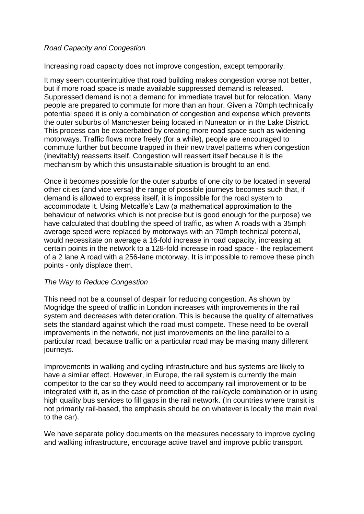### *Road Capacity and Congestion*

Increasing road capacity does not improve congestion, except temporarily.

It may seem counterintuitive that road building makes congestion worse not better, but if more road space is made available suppressed demand is released. Suppressed demand is not a demand for immediate travel but for relocation. Many people are prepared to commute for more than an hour. Given a 70mph technically potential speed it is only a combination of congestion and expense which prevents the outer suburbs of Manchester being located in Nuneaton or in the Lake District. This process can be exacerbated by creating more road space such as widening motorways. Traffic flows more freely (for a while), people are encouraged to commute further but become trapped in their new travel patterns when congestion (inevitably) reasserts itself. Congestion will reassert itself because it is the mechanism by which this unsustainable situation is brought to an end.

Once it becomes possible for the outer suburbs of one city to be located in several other cities (and vice versa) the range of possible journeys becomes such that, if demand is allowed to express itself, it is impossible for the road system to accommodate it. Using Metcalfe's Law (a mathematical approximation to the behaviour of networks which is not precise but is good enough for the purpose) we have calculated that doubling the speed of traffic, as when A roads with a 35mph average speed were replaced by motorways with an 70mph technical potential, would necessitate on average a 16-fold increase in road capacity, increasing at certain points in the network to a 128-fold increase in road space - the replacement of a 2 lane A road with a 256-lane motorway. It is impossible to remove these pinch points - only displace them.

### *The Way to Reduce Congestion*

This need not be a counsel of despair for reducing congestion. As shown by Mogridge the speed of traffic in London increases with improvements in the rail system and decreases with deterioration. This is because the quality of alternatives sets the standard against which the road must compete. These need to be overall improvements in the network, not just improvements on the line parallel to a particular road, because traffic on a particular road may be making many different journeys.

Improvements in walking and cycling infrastructure and bus systems are likely to have a similar effect. However, in Europe, the rail system is currently the main competitor to the car so they would need to accompany rail improvement or to be integrated with it, as in the case of promotion of the rail/cycle combination or in using high quality bus services to fill gaps in the rail network. (In countries where transit is not primarily rail-based, the emphasis should be on whatever is locally the main rival to the car).

We have separate policy documents on the measures necessary to improve cycling and walking infrastructure, encourage active travel and improve public transport.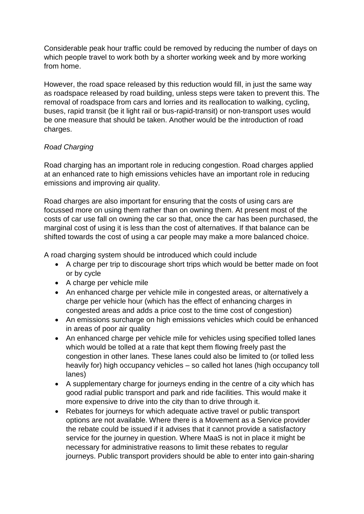Considerable peak hour traffic could be removed by reducing the number of days on which people travel to work both by a shorter working week and by more working from home.

However, the road space released by this reduction would fill, in just the same way as roadspace released by road building, unless steps were taken to prevent this. The removal of roadspace from cars and lorries and its reallocation to walking, cycling, buses, rapid transit (be it light rail or bus-rapid-transit) or non-transport uses would be one measure that should be taken. Another would be the introduction of road charges.

# *Road Charging*

Road charging has an important role in reducing congestion. Road charges applied at an enhanced rate to high emissions vehicles have an important role in reducing emissions and improving air quality.

Road charges are also important for ensuring that the costs of using cars are focussed more on using them rather than on owning them. At present most of the costs of car use fall on owning the car so that, once the car has been purchased, the marginal cost of using it is less than the cost of alternatives. If that balance can be shifted towards the cost of using a car people may make a more balanced choice.

A road charging system should be introduced which could include

- A charge per trip to discourage short trips which would be better made on foot or by cycle
- A charge per vehicle mile
- An enhanced charge per vehicle mile in congested areas, or alternatively a charge per vehicle hour (which has the effect of enhancing charges in congested areas and adds a price cost to the time cost of congestion)
- An emissions surcharge on high emissions vehicles which could be enhanced in areas of poor air quality
- An enhanced charge per vehicle mile for vehicles using specified tolled lanes which would be tolled at a rate that kept them flowing freely past the congestion in other lanes. These lanes could also be limited to (or tolled less heavily for) high occupancy vehicles – so called hot lanes (high occupancy toll lanes)
- A supplementary charge for journeys ending in the centre of a city which has good radial public transport and park and ride facilities. This would make it more expensive to drive into the city than to drive through it.
- Rebates for journeys for which adequate active travel or public transport options are not available. Where there is a Movement as a Service provider the rebate could be issued if it advises that it cannot provide a satisfactory service for the journey in question. Where MaaS is not in place it might be necessary for administrative reasons to limit these rebates to regular journeys. Public transport providers should be able to enter into gain-sharing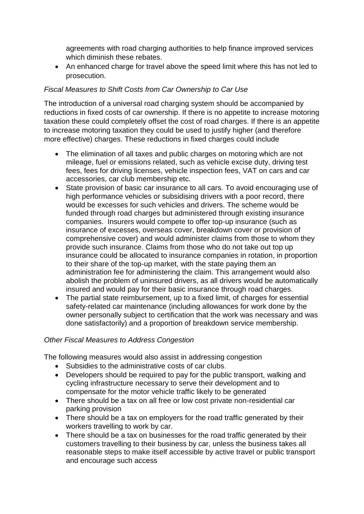agreements with road charging authorities to help finance improved services which diminish these rebates.

 An enhanced charge for travel above the speed limit where this has not led to prosecution.

## *Fiscal Measures to Shift Costs from Car Ownership to Car Use*

The introduction of a universal road charging system should be accompanied by reductions in fixed costs of car ownership. If there is no appetite to increase motoring taxation these could completely offset the cost of road charges. If there is an appetite to increase motoring taxation they could be used to justify higher (and therefore more effective) charges. These reductions in fixed charges could include

- The elimination of all taxes and public charges on motoring which are not mileage, fuel or emissions related, such as vehicle excise duty, driving test fees, fees for driving licenses, vehicle inspection fees, VAT on cars and car accessories, car club membership etc.
- State provision of basic car insurance to all cars. To avoid encouraging use of high performance vehicles or subsidising drivers with a poor record, there would be excesses for such vehicles and drivers. The scheme would be funded through road charges but administered through existing insurance companies. Insurers would compete to offer top-up insurance (such as insurance of excesses, overseas cover, breakdown cover or provision of comprehensive cover) and would administer claims from those to whom they provide such insurance. Claims from those who do not take out top up insurance could be allocated to insurance companies in rotation, in proportion to their share of the top-up market, with the state paying them an administration fee for administering the claim. This arrangement would also abolish the problem of uninsured drivers, as all drivers would be automatically insured and would pay for their basic insurance through road charges.
- The partial state reimbursement, up to a fixed limit, of charges for essential safety-related car maintenance (including allowances for work done by the owner personally subject to certification that the work was necessary and was done satisfactorily) and a proportion of breakdown service membership.

## *Other Fiscal Measures to Address Congestion*

The following measures would also assist in addressing congestion

- Subsidies to the administrative costs of car clubs.
- Developers should be required to pay for the public transport, walking and cycling infrastructure necessary to serve their development and to compensate for the motor vehicle traffic likely to be generated
- There should be a tax on all free or low cost private non-residential car parking provision
- There should be a tax on employers for the road traffic generated by their workers travelling to work by car.
- There should be a tax on businesses for the road traffic generated by their customers travelling to their business by car, unless the business takes all reasonable steps to make itself accessible by active travel or public transport and encourage such access